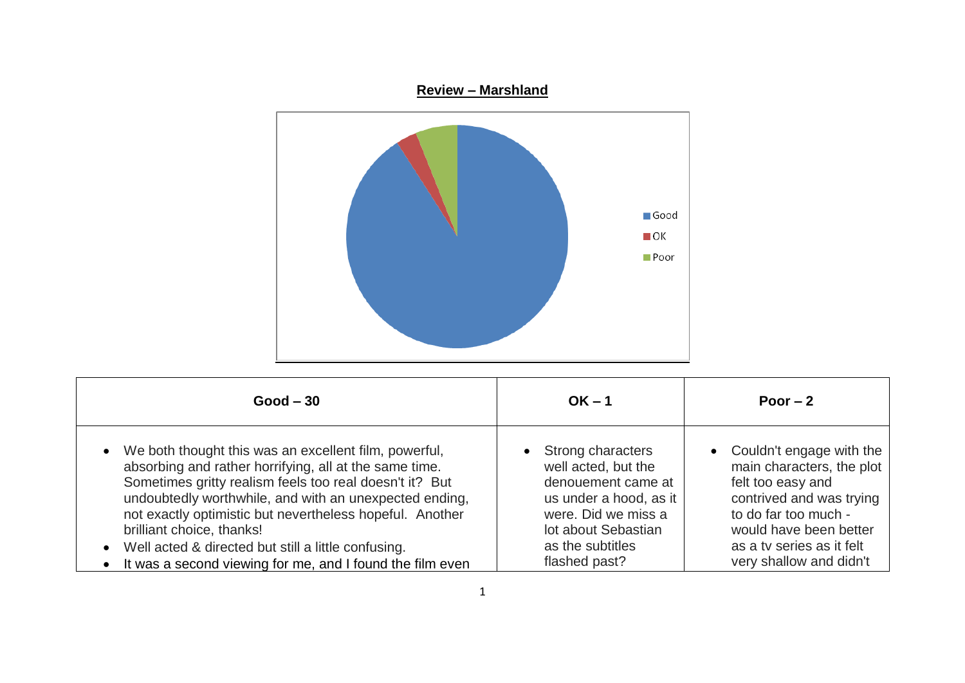

| $Good - 30$                                                                                                                                                                                                                                                                                                                                                                                                                                             | $OK - 1$                                                                                                                                                                                 | Poor $-2$                                                                                                                                                                                                          |
|---------------------------------------------------------------------------------------------------------------------------------------------------------------------------------------------------------------------------------------------------------------------------------------------------------------------------------------------------------------------------------------------------------------------------------------------------------|------------------------------------------------------------------------------------------------------------------------------------------------------------------------------------------|--------------------------------------------------------------------------------------------------------------------------------------------------------------------------------------------------------------------|
| • We both thought this was an excellent film, powerful,<br>absorbing and rather horrifying, all at the same time.<br>Sometimes gritty realism feels too real doesn't it? But<br>undoubtedly worthwhile, and with an unexpected ending,<br>not exactly optimistic but nevertheless hopeful. Another<br>brilliant choice, thanks!<br>• Well acted & directed but still a little confusing.<br>• It was a second viewing for me, and I found the film even | Strong characters<br>$\bullet$<br>well acted, but the<br>denouement came at<br>us under a hood, as it<br>were. Did we miss a<br>lot about Sebastian<br>as the subtitles<br>flashed past? | • Couldn't engage with the<br>main characters, the plot<br>felt too easy and<br>contrived and was trying<br>to do far too much -<br>would have been better<br>as a tv series as it felt<br>very shallow and didn't |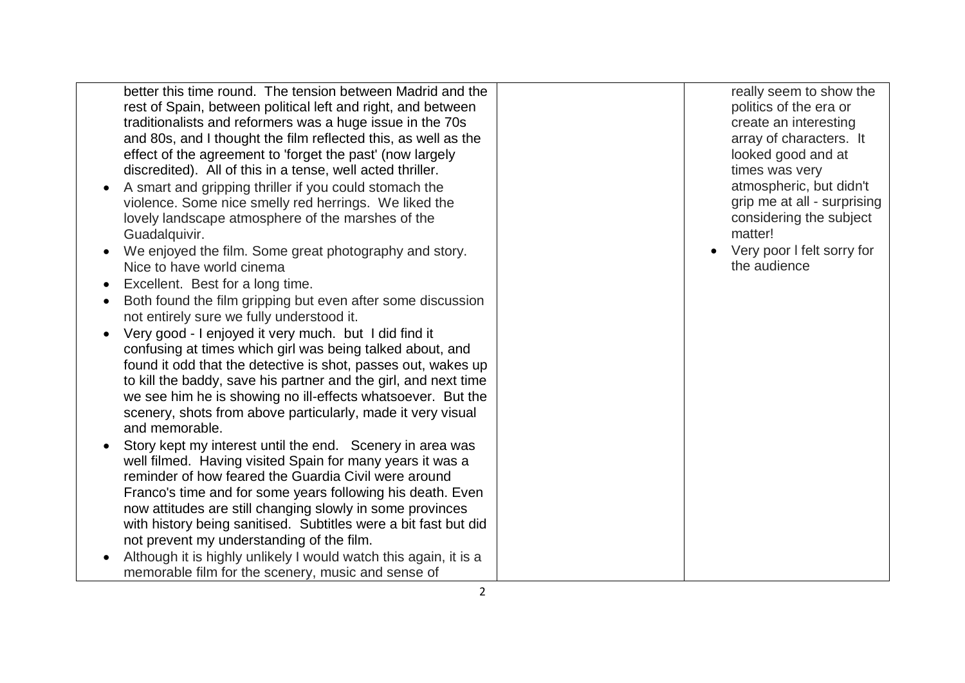better this time round. The tension between Madrid and the rest of Spain, between political left and right, and between traditionalists and reformers was a huge issue in the 70s and 80s, and I thought the film reflected this, as well as the effect of the agreement to 'forget the past' (now largely discredited). All of this in a tense, well acted thriller.

- A smart and gripping thriller if you could stomach the violence. Some nice smelly red herrings. We liked the lovely landscape atmosphere of the marshes of the Guadalquivir.
- We enjoyed the film. Some great photography and story. Nice to have world cinema
- Excellent. Best for a long time.
- Both found the film gripping but even after some discussion not entirely sure we fully understood it.
- Very good I enjoyed it very much. but I did find it confusing at times which girl was being talked about, and found it odd that the detective is shot, passes out, wakes up to kill the baddy, save his partner and the girl, and next time we see him he is showing no ill -effects whatsoever. But the scenery, shots from above particularly, made it very visual and memorable.
- Story kept my interest until the end. Scenery in area was well filmed. Having visited Spain for many years it was a reminder of how feared the Guardia Civil were around Franco's time and for some years following his death. Even now attitudes are still changing slowly in some provinces with history being sanitised. Subtitles were a bit fast but did not prevent my understanding of the film.
- Although it is highly unlikely I would watch this again, it is a memorable film for the scenery, music and sense of

really seem to show the politics of the era or create an interesting array of characters. It looked good and at times was very atmospheric, but didn't grip me at all - surprising considering the subject matter!

 Very poor l felt sorry for the audience